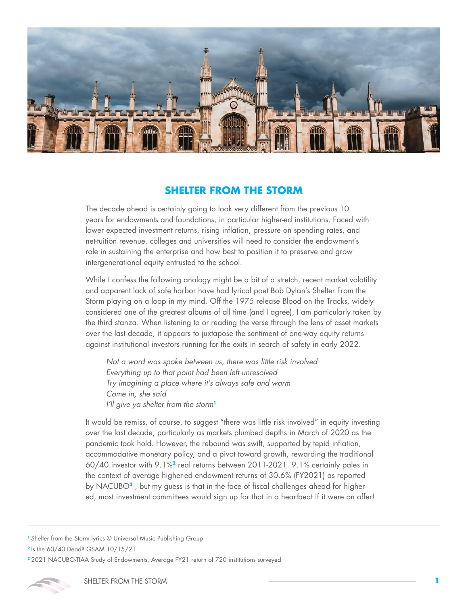

## **SHELTER FROM THE STORM**

The decade ahead is certainly going to look very different from the previous 10 years for endowments and foundations, in particular higher-ed institutions. Faced with lower expected investment returns, rising inflation, pressure on spending rates, and net-tuition revenue, colleges and universities will need to consider the endowment's role in sustaining the enterprise and how best to position it to preserve and grow intergenerational equity entrusted to the school.

While I confess the following analogy might be a bit of a stretch, recent market volatility and apparent lack of safe harbor have had lyrical poet Bob Dylan's Shelter From the Storm playing on a loop in my mind. Off the 1975 release Blood on the Tracks, widely considered one of the greatest albums of all time (and I agree), I am particularly taken by the third stanza. When listening to or reading the verse through the lens of asset markets over the last decade, it appears to juxtapose the sentiment of one-way equity returns against institutional investors running for the exits in search of safety in early 2022.

*Not a word was spoke between us, there was little risk involved Everything up to that point had been left unresolved Try imagining a place where it's always safe and warm Come in, she said I'll give ya shelter from the storm***<sup>1</sup>**

It would be remiss, of course, to suggest "there was little risk involved" in equity investing over the last decade, particularly as markets plumbed depths in March of 2020 as the pandemic took hold. However, the rebound was swift, supported by tepid inflation, accommodative monetary policy, and a pivot toward growth, rewarding the traditional 60/40 investor with 9.1%**<sup>2</sup>** real returns between 2011-2021. 9.1% certainly pales in the context of average higher-ed endowment returns of 30.6% (FY2021) as reported by NACUBO**3** , but my guess is that in the face of fiscal challenges ahead for highered, most investment committees would sign up for that in a heartbeat if it were on offer!

**<sup>3</sup>** 2021 NACUBO-TIAA Study of Endowments, Average FY21 return of 720 institutions surveyed



<sup>&</sup>lt;sup>1</sup> Shelter from the Storm lyrics © Universal Music Publishing Group

**<sup>2</sup>**Is the 60/40 Dead? GSAM 10/15/21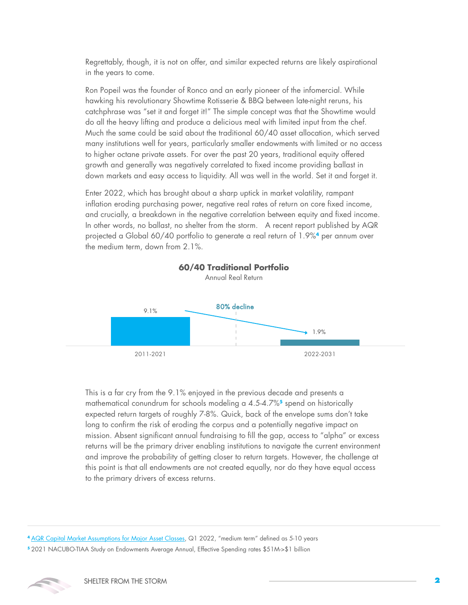Regrettably, though, it is not on offer, and similar expected returns are likely aspirational in the years to come.

Ron Popeil was the founder of Ronco and an early pioneer of the infomercial. While hawking his revolutionary Showtime Rotisserie & BBQ between late-night reruns, his catchphrase was "set it and forget it!" The simple concept was that the Showtime would do all the heavy lifting and produce a delicious meal with limited input from the chef. Much the same could be said about the traditional 60/40 asset allocation, which served many institutions well for years, particularly smaller endowments with limited or no access to higher octane private assets. For over the past 20 years, traditional equity offered growth and generally was negatively correlated to fixed income providing ballast in down markets and easy access to liquidity. All was well in the world. Set it and forget it.

Enter 2022, which has brought about a sharp uptick in market volatility, rampant inflation eroding purchasing power, negative real rates of return on core fixed income, and crucially, a breakdown in the negative correlation between equity and fixed income. In other words, no ballast, no shelter from the storm. A recent report published by AQR projected a Global 60/40 portfolio to generate a real return of 1.9%**<sup>4</sup>** per annum over the medium term, down from 2.1%.



This is a far cry from the 9.1% enjoyed in the previous decade and presents a mathematical conundrum for schools modeling a 4.5-4.7%**<sup>5</sup>** spend on historically expected return targets of roughly 7-8%. Quick, back of the envelope sums don't take long to confirm the risk of eroding the corpus and a potentially negative impact on mission. Absent significant annual fundraising to fill the gap, access to "alpha" or excess returns will be the primary driver enabling institutions to navigate the current environment and improve the probability of getting closer to return targets. However, the challenge at this point is that all endowments are not created equally, nor do they have equal access to the primary drivers of excess returns.

**<sup>4</sup>**[AQR Capital Market Assumptions for Major Asset Classes,](https://www.aqr.com/Insights/Research/Alternative-Thinking/2022-Capital-Market-Assumptions-for-Major-Asset-Classes) Q1 2022, "medium term" defined as 5-10 years **5** 2021 NACUBO-TIAA Study on Endowments Average Annual, Effective Spending rates \$51M->\$1 billion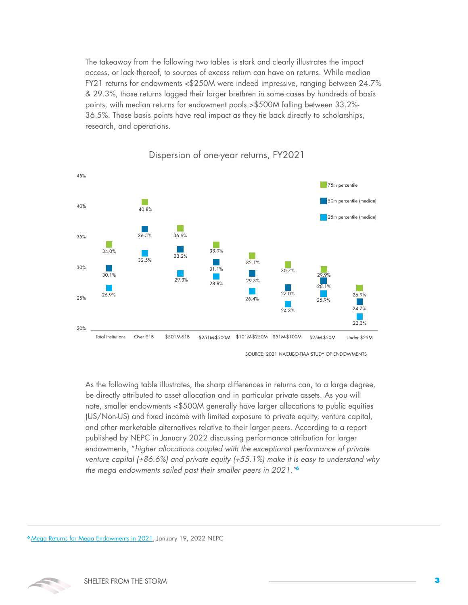The takeaway from the following two tables is stark and clearly illustrates the impact access, or lack thereof, to sources of excess return can have on returns. While median FY21 returns for endowments <\$250M were indeed impressive, ranging between 24.7% & 29.3%, those returns lagged their larger brethren in some cases by hundreds of basis points, with median returns for endowment pools >\$500M falling between 33.2%- 36.5%. Those basis points have real impact as they tie back directly to scholarships, research, and operations.



Dispersion of one-year returns, FY2021

SOURCE: 2021 NACUBO-TIAA STUDY OF ENDOWMENTS

As the following table illustrates, the sharp differences in returns can, to a large degree, be directly attributed to asset allocation and in particular private assets. As you will note, smaller endowments <\$500M generally have larger allocations to public equities (US/Non-US) and fixed income with limited exposure to private equity, venture capital, and other marketable alternatives relative to their larger peers. According to a report published by NEPC in January 2022 discussing performance attribution for larger endowments, "*higher allocations coupled with the exceptional performance of private venture capital (+86.6%) and private equity (+55.1%) make it is easy to understand why the mega endowments sailed past their smaller peers in 2021."***<sup>6</sup>**

**<sup>6</sup>**[Mega Returns for Mega Endowments in 2021](https://nepc.com/institutional/mega-endowment-returns-2021/), January 19, 2022 NEPC

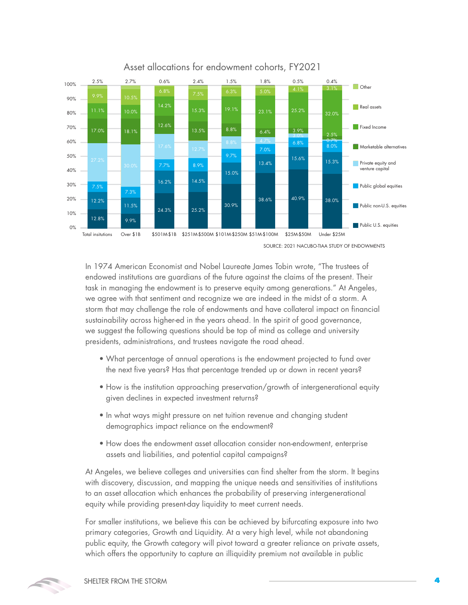

## Asset allocations for endowment cohorts, FY2021

SOURCE: 2021 NACUBO-TIAA STUDY OF ENDOWMENTS

In 1974 American Economist and Nobel Laureate James Tobin wrote, "The trustees of endowed institutions are guardians of the future against the claims of the present. Their task in managing the endowment is to preserve equity among generations." At Angeles, we agree with that sentiment and recognize we are indeed in the midst of a storm. A storm that may challenge the role of endowments and have collateral impact on financial sustainability across higher-ed in the years ahead. In the spirit of good governance, we suggest the following questions should be top of mind as college and university presidents, administrations, and trustees navigate the road ahead.

- What percentage of annual operations is the endowment projected to fund over the next five years? Has that percentage trended up or down in recent years?
- How is the institution approaching preservation/growth of intergenerational equity given declines in expected investment returns?
- In what ways might pressure on net tuition revenue and changing student demographics impact reliance on the endowment?
- How does the endowment asset allocation consider non-endowment, enterprise assets and liabilities, and potential capital campaigns?

At Angeles, we believe colleges and universities can find shelter from the storm. It begins with discovery, discussion, and mapping the unique needs and sensitivities of institutions to an asset allocation which enhances the probability of preserving intergenerational equity while providing present-day liquidity to meet current needs.

For smaller institutions, we believe this can be achieved by bifurcating exposure into two primary categories, Growth and Liquidity. At a very high level, while not abandoning public equity, the Growth category will pivot toward a greater reliance on private assets, which offers the opportunity to capture an illiquidity premium not available in public